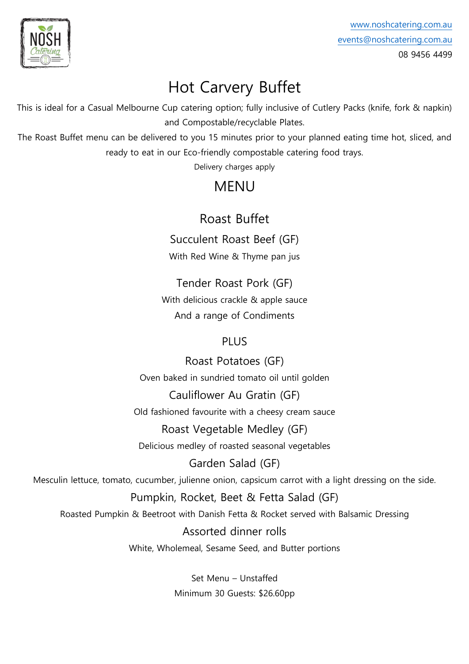

# Hot Carvery Buffet

This is ideal for a Casual Melbourne Cup catering option; fully inclusive of Cutlery Packs (knife, fork & napkin) and Compostable/recyclable Plates.

The Roast Buffet menu can be delivered to you 15 minutes prior to your planned eating time hot, sliced, and ready to eat in our Eco-friendly compostable catering food trays.

Delivery charges apply

## MENU

### Roast Buffet

Succulent Roast Beef (GF)

With Red Wine & Thyme pan jus

Tender Roast Pork (GF) With delicious crackle & apple sauce And a range of Condiments

#### PLUS

Roast Potatoes (GF) Oven baked in sundried tomato oil until golden

Cauliflower Au Gratin (GF) Old fashioned favourite with a cheesy cream sauce

Roast Vegetable Medley (GF) Delicious medley of roasted seasonal vegetables

Garden Salad (GF)

Mesculin lettuce, tomato, cucumber, julienne onion, capsicum carrot with a light dressing on the side.

#### Pumpkin, Rocket, Beet & Fetta Salad (GF)

Roasted Pumpkin & Beetroot with Danish Fetta & Rocket served with Balsamic Dressing

Assorted dinner rolls

White, Wholemeal, Sesame Seed, and Butter portions

Set Menu – Unstaffed Minimum 30 Guests: \$26.60pp